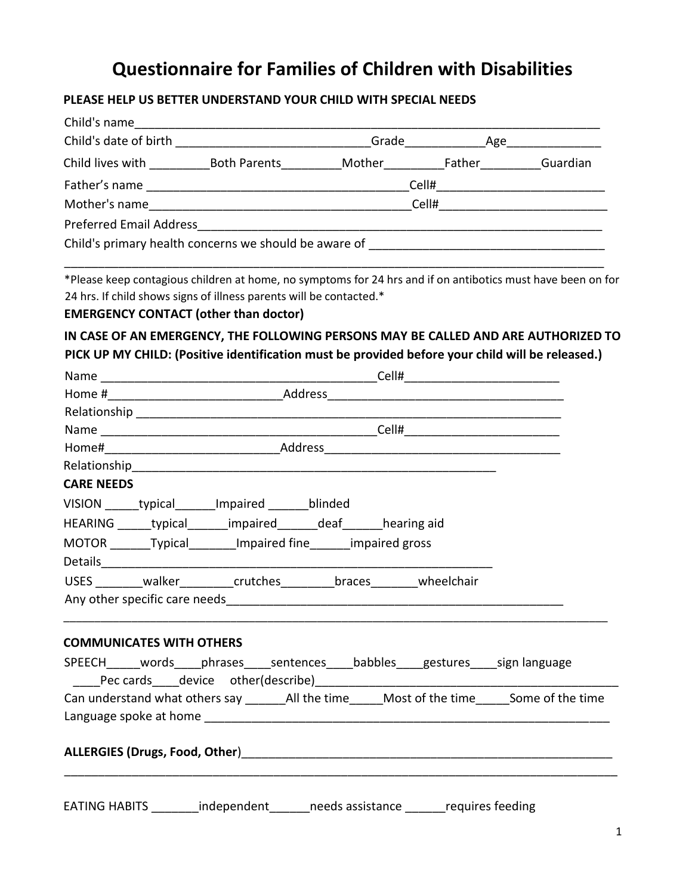## **Questionnaire for Families of Children with Disabilities**

## **PLEASE HELP US BETTER UNDERSTAND YOUR CHILD WITH SPECIAL NEEDS**

| Child lives with _______________Both Parents_____________Mother_____________________________Guardian                                                                                                                                               |  |  |  |                                                                                                             |  |
|----------------------------------------------------------------------------------------------------------------------------------------------------------------------------------------------------------------------------------------------------|--|--|--|-------------------------------------------------------------------------------------------------------------|--|
|                                                                                                                                                                                                                                                    |  |  |  |                                                                                                             |  |
|                                                                                                                                                                                                                                                    |  |  |  |                                                                                                             |  |
|                                                                                                                                                                                                                                                    |  |  |  |                                                                                                             |  |
| Child's primary health concerns we should be aware of ___________________________                                                                                                                                                                  |  |  |  |                                                                                                             |  |
| 24 hrs. If child shows signs of illness parents will be contacted.*<br><b>EMERGENCY CONTACT (other than doctor)</b>                                                                                                                                |  |  |  | *Please keep contagious children at home, no symptoms for 24 hrs and if on antibotics must have been on for |  |
| PICK UP MY CHILD: (Positive identification must be provided before your child will be released.)                                                                                                                                                   |  |  |  | IN CASE OF AN EMERGENCY, THE FOLLOWING PERSONS MAY BE CALLED AND ARE AUTHORIZED TO                          |  |
|                                                                                                                                                                                                                                                    |  |  |  |                                                                                                             |  |
|                                                                                                                                                                                                                                                    |  |  |  |                                                                                                             |  |
|                                                                                                                                                                                                                                                    |  |  |  |                                                                                                             |  |
|                                                                                                                                                                                                                                                    |  |  |  |                                                                                                             |  |
|                                                                                                                                                                                                                                                    |  |  |  |                                                                                                             |  |
| Relationship and the contract of the contract of the contract of the contract of the contract of the contract of the contract of the contract of the contract of the contract of the contract of the contract of the contract<br><b>CARE NEEDS</b> |  |  |  |                                                                                                             |  |
| VISION _______ typical _______ Impaired _______ blinded                                                                                                                                                                                            |  |  |  |                                                                                                             |  |
| HEARING ______ typical _______ impaired _______ deaf ______ hearing aid                                                                                                                                                                            |  |  |  |                                                                                                             |  |
| MOTOR _______Typical________Impaired fine_______impaired gross                                                                                                                                                                                     |  |  |  |                                                                                                             |  |
|                                                                                                                                                                                                                                                    |  |  |  |                                                                                                             |  |
| USES ________ walker__________ crutches _________ braces ________ wheelchair                                                                                                                                                                       |  |  |  |                                                                                                             |  |
|                                                                                                                                                                                                                                                    |  |  |  |                                                                                                             |  |
| <b>COMMUNICATES WITH OTHERS</b>                                                                                                                                                                                                                    |  |  |  |                                                                                                             |  |
| SPEECH______ words_____phrases_____sentences______babbles_____gestures_____sign language<br>Lackenburg Pec cards Lackevice other(describe) Lackenze Lackevice 2014 12:30 Pec cards Lackevice of the Control                                        |  |  |  |                                                                                                             |  |
|                                                                                                                                                                                                                                                    |  |  |  |                                                                                                             |  |
|                                                                                                                                                                                                                                                    |  |  |  |                                                                                                             |  |
|                                                                                                                                                                                                                                                    |  |  |  |                                                                                                             |  |
| EATING HABITS ________ independent ______ needs assistance ______ requires feeding                                                                                                                                                                 |  |  |  |                                                                                                             |  |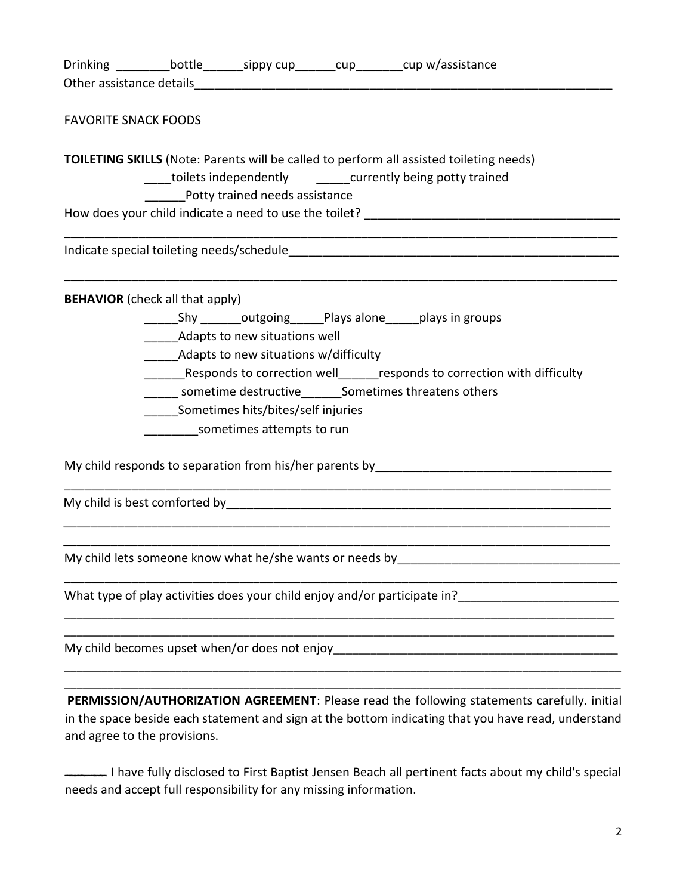| <b>FAVORITE SNACK FOODS</b>                                       |                                                                                                                                                                                                           |                                                                                                                                                                                                    |
|-------------------------------------------------------------------|-----------------------------------------------------------------------------------------------------------------------------------------------------------------------------------------------------------|----------------------------------------------------------------------------------------------------------------------------------------------------------------------------------------------------|
|                                                                   | Potty trained needs assistance                                                                                                                                                                            | <b>TOILETING SKILLS</b> (Note: Parents will be called to perform all assisted toileting needs)<br>____toilets independently _______currently being potty trained                                   |
|                                                                   |                                                                                                                                                                                                           |                                                                                                                                                                                                    |
|                                                                   |                                                                                                                                                                                                           |                                                                                                                                                                                                    |
| <b>BEHAVIOR</b> (check all that apply)                            | Adapts to new situations well<br>Adapts to new situations w/difficulty<br>______ sometime destructive_______Sometimes threatens others<br>Sometimes hits/bites/self injuries<br>sometimes attempts to run | Responds to correction well_______ responds to correction with difficulty                                                                                                                          |
| My child lets someone know what he/she wants or needs by          |                                                                                                                                                                                                           |                                                                                                                                                                                                    |
|                                                                   |                                                                                                                                                                                                           |                                                                                                                                                                                                    |
|                                                                   |                                                                                                                                                                                                           |                                                                                                                                                                                                    |
| and agree to the provisions.                                      |                                                                                                                                                                                                           | PERMISSION/AUTHORIZATION AGREEMENT: Please read the following statements carefully. initial<br>in the space beside each statement and sign at the bottom indicating that you have read, understand |
| needs and accept full responsibility for any missing information. |                                                                                                                                                                                                           | I have fully disclosed to First Baptist Jensen Beach all pertinent facts about my child's special                                                                                                  |

2